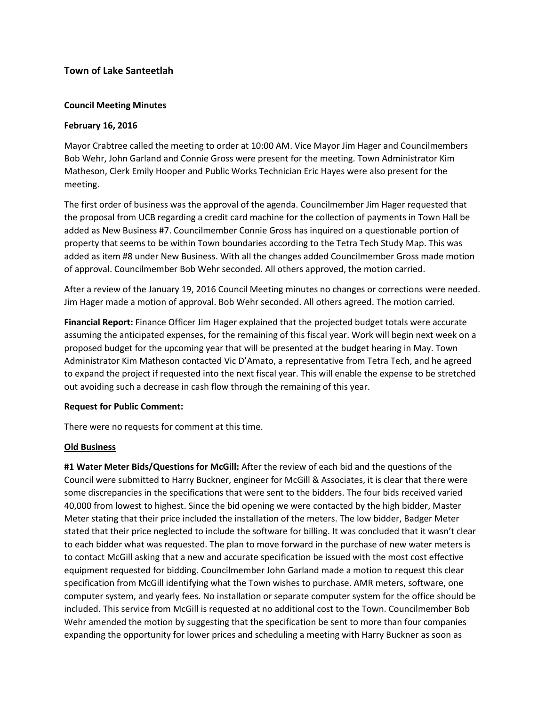# **Town of Lake Santeetlah**

## **Council Meeting Minutes**

### **February 16, 2016**

Mayor Crabtree called the meeting to order at 10:00 AM. Vice Mayor Jim Hager and Councilmembers Bob Wehr, John Garland and Connie Gross were present for the meeting. Town Administrator Kim Matheson, Clerk Emily Hooper and Public Works Technician Eric Hayes were also present for the meeting.

The first order of business was the approval of the agenda. Councilmember Jim Hager requested that the proposal from UCB regarding a credit card machine for the collection of payments in Town Hall be added as New Business #7. Councilmember Connie Gross has inquired on a questionable portion of property that seems to be within Town boundaries according to the Tetra Tech Study Map. This was added as item #8 under New Business. With all the changes added Councilmember Gross made motion of approval. Councilmember Bob Wehr seconded. All others approved, the motion carried.

After a review of the January 19, 2016 Council Meeting minutes no changes or corrections were needed. Jim Hager made a motion of approval. Bob Wehr seconded. All others agreed. The motion carried.

**Financial Report:** Finance Officer Jim Hager explained that the projected budget totals were accurate assuming the anticipated expenses, for the remaining of this fiscal year. Work will begin next week on a proposed budget for the upcoming year that will be presented at the budget hearing in May. Town Administrator Kim Matheson contacted Vic D'Amato, a representative from Tetra Tech, and he agreed to expand the project if requested into the next fiscal year. This will enable the expense to be stretched out avoiding such a decrease in cash flow through the remaining of this year.

### **Request for Public Comment:**

There were no requests for comment at this time.

### **Old Business**

**#1 Water Meter Bids/Questions for McGill:** After the review of each bid and the questions of the Council were submitted to Harry Buckner, engineer for McGill & Associates, it is clear that there were some discrepancies in the specifications that were sent to the bidders. The four bids received varied 40,000 from lowest to highest. Since the bid opening we were contacted by the high bidder, Master Meter stating that their price included the installation of the meters. The low bidder, Badger Meter stated that their price neglected to include the software for billing. It was concluded that it wasn't clear to each bidder what was requested. The plan to move forward in the purchase of new water meters is to contact McGill asking that a new and accurate specification be issued with the most cost effective equipment requested for bidding. Councilmember John Garland made a motion to request this clear specification from McGill identifying what the Town wishes to purchase. AMR meters, software, one computer system, and yearly fees. No installation or separate computer system for the office should be included. This service from McGill is requested at no additional cost to the Town. Councilmember Bob Wehr amended the motion by suggesting that the specification be sent to more than four companies expanding the opportunity for lower prices and scheduling a meeting with Harry Buckner as soon as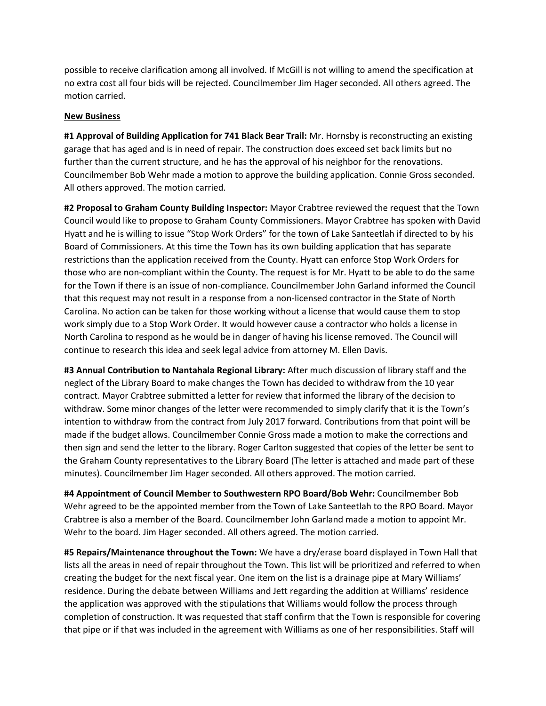possible to receive clarification among all involved. If McGill is not willing to amend the specification at no extra cost all four bids will be rejected. Councilmember Jim Hager seconded. All others agreed. The motion carried.

#### **New Business**

**#1 Approval of Building Application for 741 Black Bear Trail:** Mr. Hornsby is reconstructing an existing garage that has aged and is in need of repair. The construction does exceed set back limits but no further than the current structure, and he has the approval of his neighbor for the renovations. Councilmember Bob Wehr made a motion to approve the building application. Connie Gross seconded. All others approved. The motion carried.

**#2 Proposal to Graham County Building Inspector:** Mayor Crabtree reviewed the request that the Town Council would like to propose to Graham County Commissioners. Mayor Crabtree has spoken with David Hyatt and he is willing to issue "Stop Work Orders" for the town of Lake Santeetlah if directed to by his Board of Commissioners. At this time the Town has its own building application that has separate restrictions than the application received from the County. Hyatt can enforce Stop Work Orders for those who are non-compliant within the County. The request is for Mr. Hyatt to be able to do the same for the Town if there is an issue of non-compliance. Councilmember John Garland informed the Council that this request may not result in a response from a non-licensed contractor in the State of North Carolina. No action can be taken for those working without a license that would cause them to stop work simply due to a Stop Work Order. It would however cause a contractor who holds a license in North Carolina to respond as he would be in danger of having his license removed. The Council will continue to research this idea and seek legal advice from attorney M. Ellen Davis.

**#3 Annual Contribution to Nantahala Regional Library:** After much discussion of library staff and the neglect of the Library Board to make changes the Town has decided to withdraw from the 10 year contract. Mayor Crabtree submitted a letter for review that informed the library of the decision to withdraw. Some minor changes of the letter were recommended to simply clarify that it is the Town's intention to withdraw from the contract from July 2017 forward. Contributions from that point will be made if the budget allows. Councilmember Connie Gross made a motion to make the corrections and then sign and send the letter to the library. Roger Carlton suggested that copies of the letter be sent to the Graham County representatives to the Library Board (The letter is attached and made part of these minutes). Councilmember Jim Hager seconded. All others approved. The motion carried.

**#4 Appointment of Council Member to Southwestern RPO Board/Bob Wehr:** Councilmember Bob Wehr agreed to be the appointed member from the Town of Lake Santeetlah to the RPO Board. Mayor Crabtree is also a member of the Board. Councilmember John Garland made a motion to appoint Mr. Wehr to the board. Jim Hager seconded. All others agreed. The motion carried.

**#5 Repairs/Maintenance throughout the Town:** We have a dry/erase board displayed in Town Hall that lists all the areas in need of repair throughout the Town. This list will be prioritized and referred to when creating the budget for the next fiscal year. One item on the list is a drainage pipe at Mary Williams' residence. During the debate between Williams and Jett regarding the addition at Williams' residence the application was approved with the stipulations that Williams would follow the process through completion of construction. It was requested that staff confirm that the Town is responsible for covering that pipe or if that was included in the agreement with Williams as one of her responsibilities. Staff will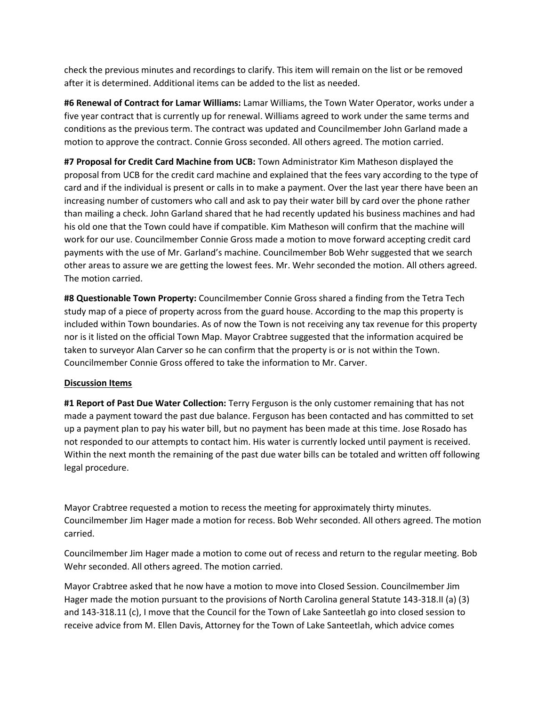check the previous minutes and recordings to clarify. This item will remain on the list or be removed after it is determined. Additional items can be added to the list as needed.

**#6 Renewal of Contract for Lamar Williams:** Lamar Williams, the Town Water Operator, works under a five year contract that is currently up for renewal. Williams agreed to work under the same terms and conditions as the previous term. The contract was updated and Councilmember John Garland made a motion to approve the contract. Connie Gross seconded. All others agreed. The motion carried.

**#7 Proposal for Credit Card Machine from UCB:** Town Administrator Kim Matheson displayed the proposal from UCB for the credit card machine and explained that the fees vary according to the type of card and if the individual is present or calls in to make a payment. Over the last year there have been an increasing number of customers who call and ask to pay their water bill by card over the phone rather than mailing a check. John Garland shared that he had recently updated his business machines and had his old one that the Town could have if compatible. Kim Matheson will confirm that the machine will work for our use. Councilmember Connie Gross made a motion to move forward accepting credit card payments with the use of Mr. Garland's machine. Councilmember Bob Wehr suggested that we search other areas to assure we are getting the lowest fees. Mr. Wehr seconded the motion. All others agreed. The motion carried.

**#8 Questionable Town Property:** Councilmember Connie Gross shared a finding from the Tetra Tech study map of a piece of property across from the guard house. According to the map this property is included within Town boundaries. As of now the Town is not receiving any tax revenue for this property nor is it listed on the official Town Map. Mayor Crabtree suggested that the information acquired be taken to surveyor Alan Carver so he can confirm that the property is or is not within the Town. Councilmember Connie Gross offered to take the information to Mr. Carver.

### **Discussion Items**

**#1 Report of Past Due Water Collection:** Terry Ferguson is the only customer remaining that has not made a payment toward the past due balance. Ferguson has been contacted and has committed to set up a payment plan to pay his water bill, but no payment has been made at this time. Jose Rosado has not responded to our attempts to contact him. His water is currently locked until payment is received. Within the next month the remaining of the past due water bills can be totaled and written off following legal procedure.

Mayor Crabtree requested a motion to recess the meeting for approximately thirty minutes. Councilmember Jim Hager made a motion for recess. Bob Wehr seconded. All others agreed. The motion carried.

Councilmember Jim Hager made a motion to come out of recess and return to the regular meeting. Bob Wehr seconded. All others agreed. The motion carried.

Mayor Crabtree asked that he now have a motion to move into Closed Session. Councilmember Jim Hager made the motion pursuant to the provisions of North Carolina general Statute 143-318.II (a) (3) and 143-318.11 (c), I move that the Council for the Town of Lake Santeetlah go into closed session to receive advice from M. Ellen Davis, Attorney for the Town of Lake Santeetlah, which advice comes